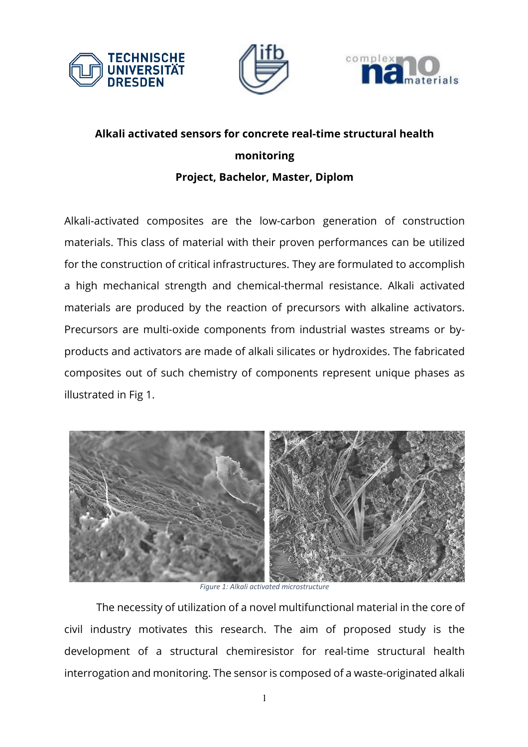





## **Alkali activated sensors for concrete real-time structural health monitoring Project, Bachelor, Master, Diplom**

Alkali-activated composites are the low-carbon generation of construction materials. This class of material with their proven performances can be utilized for the construction of critical infrastructures. They are formulated to accomplish a high mechanical strength and chemical-thermal resistance. Alkali activated materials are produced by the reaction of precursors with alkaline activators. Precursors are multi-oxide components from industrial wastes streams or byproducts and activators are made of alkali silicates or hydroxides. The fabricated composites out of such chemistry of components represent unique phases as illustrated in Fig 1.



*Figure 1: Alkali activated microstructure*

The necessity of utilization of a novel multifunctional material in the core of civil industry motivates this research. The aim of proposed study is the development of a structural chemiresistor for real-time structural health interrogation and monitoring. The sensor is composed of a waste-originated alkali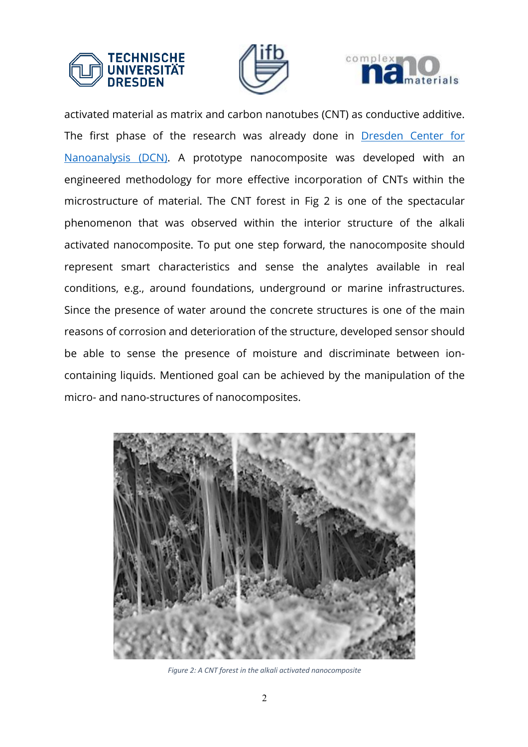





activated material as matrix and carbon nanotubes (CNT) as conductive additive. The first phase of the research was already done in Dresden Center for Nanoanalysis (DCN). A prototype nanocomposite was developed with an engineered methodology for more effective incorporation of CNTs within the microstructure of material. The CNT forest in Fig 2 is one of the spectacular phenomenon that was observed within the interior structure of the alkali activated nanocomposite. To put one step forward, the nanocomposite should represent smart characteristics and sense the analytes available in real conditions, e.g., around foundations, underground or marine infrastructures. Since the presence of water around the concrete structures is one of the main reasons of corrosion and deterioration of the structure, developed sensor should be able to sense the presence of moisture and discriminate between ioncontaining liquids. Mentioned goal can be achieved by the manipulation of the micro- and nano-structures of nanocomposites.



*Figure 2: A CNT forest in the alkali activated nanocomposite*